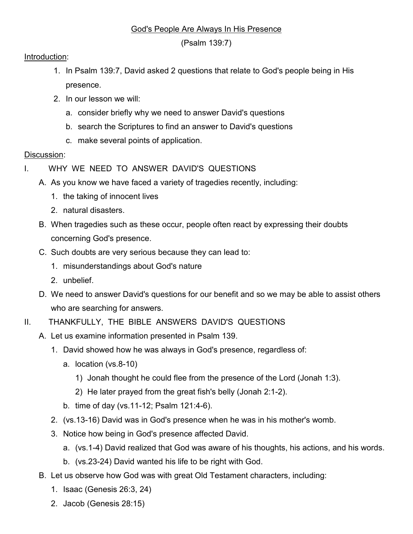## God's People Are Always In His Presence

(Psalm 139:7)

## Introduction:

- 1. In Psalm 139:7, David asked 2 questions that relate to God's people being in His presence.
- 2. In our lesson we will:
	- a. consider briefly why we need to answer David's questions
	- b. search the Scriptures to find an answer to David's questions
	- c. make several points of application.

## Discussion:

- I. WHY WE NEED TO ANSWER DAVID'S QUESTIONS
	- A. As you know we have faced a variety of tragedies recently, including:
		- 1. the taking of innocent lives
		- 2. natural disasters.
	- B. When tragedies such as these occur, people often react by expressing their doubts concerning God's presence.
	- C. Such doubts are very serious because they can lead to:
		- 1. misunderstandings about God's nature
		- 2. unbelief.
	- D. We need to answer David's questions for our benefit and so we may be able to assist others who are searching for answers.
- II. THANKFULLY, THE BIBLE ANSWERS DAVID'S QUESTIONS
	- A. Let us examine information presented in Psalm 139.
		- 1. David showed how he was always in God's presence, regardless of:
			- a. location (vs.8-10)
				- 1) Jonah thought he could flee from the presence of the Lord (Jonah 1:3).
				- 2) He later prayed from the great fish's belly (Jonah 2:1-2).
			- b. time of day (vs.11-12; Psalm 121:4-6).
		- 2. (vs.13-16) David was in God's presence when he was in his mother's womb.
		- 3. Notice how being in God's presence affected David.
			- a. (vs.1-4) David realized that God was aware of his thoughts, his actions, and his words.
			- b. (vs.23-24) David wanted his life to be right with God.
	- B. Let us observe how God was with great Old Testament characters, including:
		- 1. Isaac (Genesis 26:3, 24)
		- 2. Jacob (Genesis 28:15)